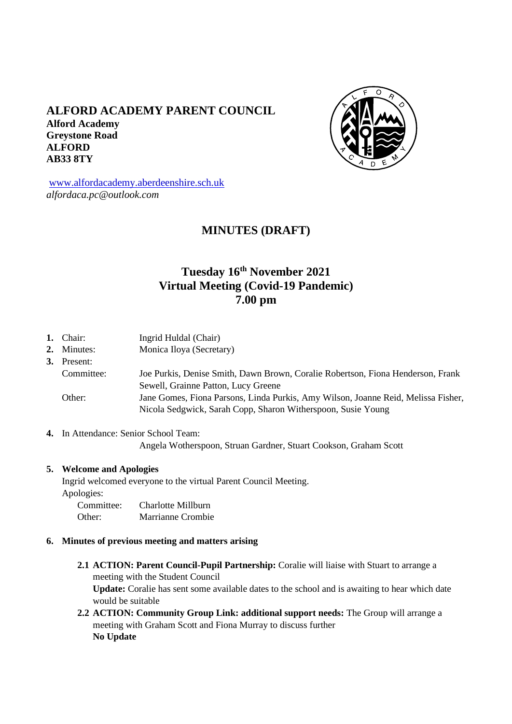# **ALFORD ACADEMY PARENT COUNCIL Alford Academy Greystone Road ALFORD AB33 8TY**



[www.alfordacademy.aberdeenshire.sch.uk](http://www.alfordacademy.aberdeenshire.sch.uk/) *alfordaca.pc@outlook.com*

# **MINUTES (DRAFT)**

# **Tuesday 16th November 2021 Virtual Meeting (Covid-19 Pandemic) 7.00 pm**

- **1.** Chair: Ingrid Huldal (Chair)
- 2. Minutes: Monica Iloya (Secretary)

# **3.** Present:

- Committee: Joe Purkis, Denise Smith, Dawn Brown, Coralie Robertson, Fiona Henderson, Frank Sewell, Grainne Patton, Lucy Greene Other: Jane Gomes, Fiona Parsons, Linda Purkis, Amy Wilson, Joanne Reid, Melissa Fisher, Nicola Sedgwick, Sarah Copp, Sharon Witherspoon, Susie Young
- **4.** In Attendance: Senior School Team:

Angela Wotherspoon, Struan Gardner, Stuart Cookson, Graham Scott

#### **5. Welcome and Apologies**

Ingrid welcomed everyone to the virtual Parent Council Meeting. Apologies: Committee: Charlotte Millburn Other: Marrianne Crombie

- **6. Minutes of previous meeting and matters arising**
	- **2.1 ACTION: Parent Council-Pupil Partnership:** Coralie will liaise with Stuart to arrange a meeting with the Student Council **Update:** Coralie has sent some available dates to the school and is awaiting to hear which date would be suitable
	- **2.2 ACTION: Community Group Link: additional support needs:** The Group will arrange a meeting with Graham Scott and Fiona Murray to discuss further **No Update**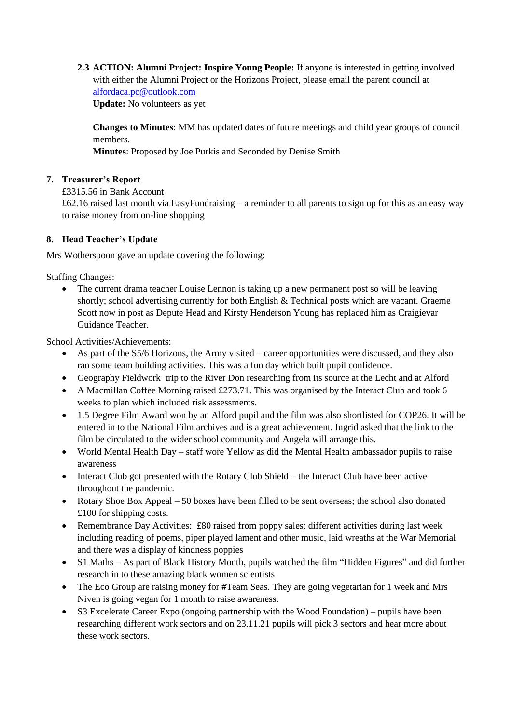**2.3 ACTION: Alumni Project: Inspire Young People:** If anyone is interested in getting involved with either the Alumni Project or the Horizons Project, please email the parent council at [alfordaca.pc@outlook.com](mailto:alfordaca.pc@outlook.com) **Update:** No volunteers as yet

**Changes to Minutes**: MM has updated dates of future meetings and child year groups of council members.

**Minutes**: Proposed by Joe Purkis and Seconded by Denise Smith

## **7. Treasurer's Report**

£3315.56 in Bank Account

£62.16 raised last month via EasyFundraising – a reminder to all parents to sign up for this as an easy way to raise money from on-line shopping

### **8. Head Teacher's Update**

Mrs Wotherspoon gave an update covering the following:

Staffing Changes:

• The current drama teacher Louise Lennon is taking up a new permanent post so will be leaving shortly; school advertising currently for both English & Technical posts which are vacant. Graeme Scott now in post as Depute Head and Kirsty Henderson Young has replaced him as Craigievar Guidance Teacher.

School Activities/Achievements:

- As part of the S5/6 Horizons, the Army visited career opportunities were discussed, and they also ran some team building activities. This was a fun day which built pupil confidence.
- Geography Fieldwork trip to the River Don researching from its source at the Lecht and at Alford
- A Macmillan Coffee Morning raised £273.71. This was organised by the Interact Club and took 6 weeks to plan which included risk assessments.
- 1.5 Degree Film Award won by an Alford pupil and the film was also shortlisted for COP26. It will be entered in to the National Film archives and is a great achievement. Ingrid asked that the link to the film be circulated to the wider school community and Angela will arrange this.
- World Mental Health Day staff wore Yellow as did the Mental Health ambassador pupils to raise awareness
- Interact Club got presented with the Rotary Club Shield the Interact Club have been active throughout the pandemic.
- Rotary Shoe Box Appeal 50 boxes have been filled to be sent overseas; the school also donated £100 for shipping costs.
- Remembrance Day Activities: £80 raised from poppy sales; different activities during last week including reading of poems, piper played lament and other music, laid wreaths at the War Memorial and there was a display of kindness poppies
- S1 Maths As part of Black History Month, pupils watched the film "Hidden Figures" and did further research in to these amazing black women scientists
- The Eco Group are raising money for #Team Seas. They are going vegetarian for 1 week and Mrs Niven is going vegan for 1 month to raise awareness.
- S3 Excelerate Career Expo (ongoing partnership with the Wood Foundation) pupils have been researching different work sectors and on 23.11.21 pupils will pick 3 sectors and hear more about these work sectors.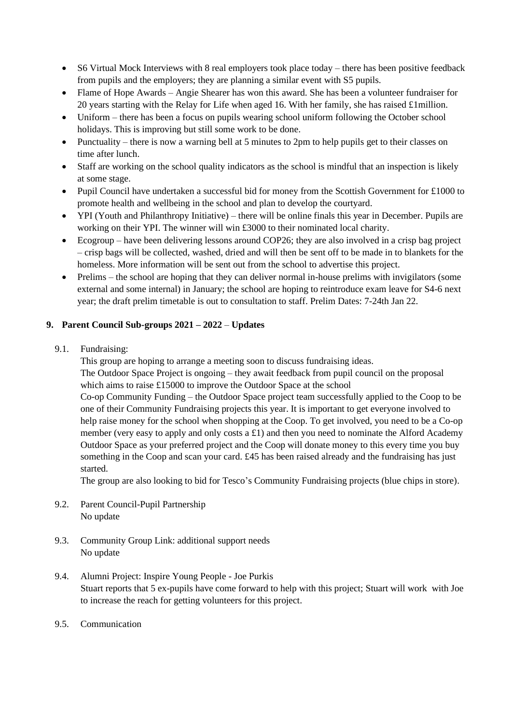- S6 Virtual Mock Interviews with 8 real employers took place today there has been positive feedback from pupils and the employers; they are planning a similar event with S5 pupils.
- Flame of Hope Awards Angie Shearer has won this award. She has been a volunteer fundraiser for 20 years starting with the Relay for Life when aged 16. With her family, she has raised £1million.
- Uniform there has been a focus on pupils wearing school uniform following the October school holidays. This is improving but still some work to be done.
- Punctuality there is now a warning bell at 5 minutes to 2pm to help pupils get to their classes on time after lunch.
- Staff are working on the school quality indicators as the school is mindful that an inspection is likely at some stage.
- Pupil Council have undertaken a successful bid for money from the Scottish Government for £1000 to promote health and wellbeing in the school and plan to develop the courtyard.
- YPI (Youth and Philanthropy Initiative) there will be online finals this year in December. Pupils are working on their YPI. The winner will win £3000 to their nominated local charity.
- Ecogroup have been delivering lessons around COP26; they are also involved in a crisp bag project – crisp bags will be collected, washed, dried and will then be sent off to be made in to blankets for the homeless. More information will be sent out from the school to advertise this project.
- Prelims the school are hoping that they can deliver normal in-house prelims with invigilators (some external and some internal) in January; the school are hoping to reintroduce exam leave for S4-6 next year; the draft prelim timetable is out to consultation to staff. Prelim Dates: 7-24th Jan 22.

## **9. Parent Council Sub-groups 2021 – 2022** – **Updates**

9.1. Fundraising:

This group are hoping to arrange a meeting soon to discuss fundraising ideas. The Outdoor Space Project is ongoing – they await feedback from pupil council on the proposal

which aims to raise £15000 to improve the Outdoor Space at the school Co-op Community Funding – the Outdoor Space project team successfully applied to the Coop to be

one of their Community Fundraising projects this year. It is important to get everyone involved to help raise money for the school when shopping at the Coop. To get involved, you need to be a Co-op member (very easy to apply and only costs a £1) and then you need to nominate the Alford Academy Outdoor Space as your preferred project and the Coop will donate money to this every time you buy something in the Coop and scan your card. £45 has been raised already and the fundraising has just started.

The group are also looking to bid for Tesco's Community Fundraising projects (blue chips in store).

- 9.2. Parent Council-Pupil Partnership No update
- 9.3. Community Group Link: additional support needs No update
- 9.4. Alumni Project: Inspire Young People Joe Purkis Stuart reports that 5 ex-pupils have come forward to help with this project; Stuart will work with Joe to increase the reach for getting volunteers for this project.
- 9.5. Communication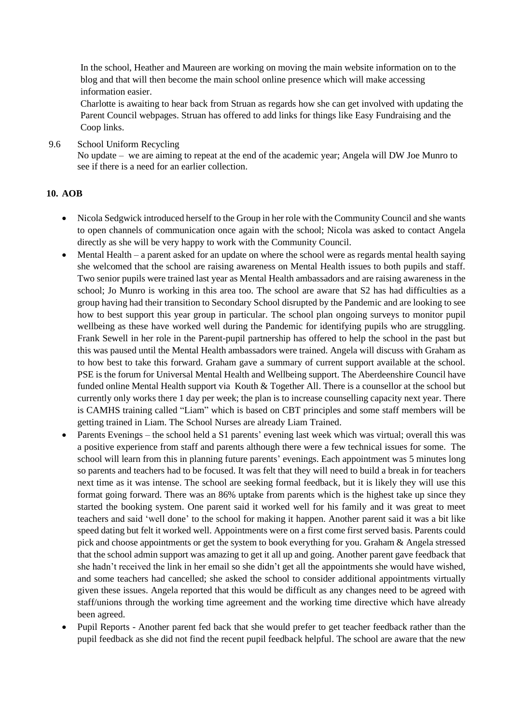In the school, Heather and Maureen are working on moving the main website information on to the blog and that will then become the main school online presence which will make accessing information easier.

Charlotte is awaiting to hear back from Struan as regards how she can get involved with updating the Parent Council webpages. Struan has offered to add links for things like Easy Fundraising and the Coop links.

9.6 School Uniform Recycling No update – we are aiming to repeat at the end of the academic year; Angela will DW Joe Munro to see if there is a need for an earlier collection.

### **10. AOB**

- Nicola Sedgwick introduced herself to the Group in her role with the Community Council and she wants to open channels of communication once again with the school; Nicola was asked to contact Angela directly as she will be very happy to work with the Community Council.
- Mental Health a parent asked for an update on where the school were as regards mental health saying she welcomed that the school are raising awareness on Mental Health issues to both pupils and staff. Two senior pupils were trained last year as Mental Health ambassadors and are raising awareness in the school; Jo Munro is working in this area too. The school are aware that S2 has had difficulties as a group having had their transition to Secondary School disrupted by the Pandemic and are looking to see how to best support this year group in particular. The school plan ongoing surveys to monitor pupil wellbeing as these have worked well during the Pandemic for identifying pupils who are struggling. Frank Sewell in her role in the Parent-pupil partnership has offered to help the school in the past but this was paused until the Mental Health ambassadors were trained. Angela will discuss with Graham as to how best to take this forward. Graham gave a summary of current support available at the school. PSE is the forum for Universal Mental Health and Wellbeing support. The Aberdeenshire Council have funded online Mental Health support via Kouth & Together All. There is a counsellor at the school but currently only works there 1 day per week; the plan is to increase counselling capacity next year. There is CAMHS training called "Liam" which is based on CBT principles and some staff members will be getting trained in Liam. The School Nurses are already Liam Trained.
- Parents Evenings the school held a S1 parents' evening last week which was virtual; overall this was a positive experience from staff and parents although there were a few technical issues for some. The school will learn from this in planning future parents' evenings. Each appointment was 5 minutes long so parents and teachers had to be focused. It was felt that they will need to build a break in for teachers next time as it was intense. The school are seeking formal feedback, but it is likely they will use this format going forward. There was an 86% uptake from parents which is the highest take up since they started the booking system. One parent said it worked well for his family and it was great to meet teachers and said 'well done' to the school for making it happen. Another parent said it was a bit like speed dating but felt it worked well. Appointments were on a first come first served basis. Parents could pick and choose appointments or get the system to book everything for you. Graham & Angela stressed that the school admin support was amazing to get it all up and going. Another parent gave feedback that she hadn't received the link in her email so she didn't get all the appointments she would have wished, and some teachers had cancelled; she asked the school to consider additional appointments virtually given these issues. Angela reported that this would be difficult as any changes need to be agreed with staff/unions through the working time agreement and the working time directive which have already been agreed.
- Pupil Reports Another parent fed back that she would prefer to get teacher feedback rather than the pupil feedback as she did not find the recent pupil feedback helpful. The school are aware that the new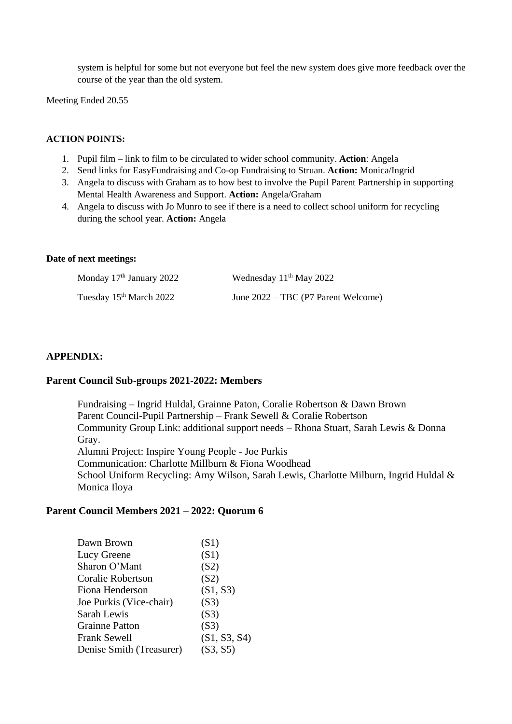system is helpful for some but not everyone but feel the new system does give more feedback over the course of the year than the old system.

Meeting Ended 20.55

### **ACTION POINTS:**

- 1. Pupil film link to film to be circulated to wider school community. **Action**: Angela
- 2. Send links for EasyFundraising and Co-op Fundraising to Struan. **Action:** Monica/Ingrid
- 3. Angela to discuss with Graham as to how best to involve the Pupil Parent Partnership in supporting Mental Health Awareness and Support. **Action:** Angela/Graham
- 4. Angela to discuss with Jo Munro to see if there is a need to collect school uniform for recycling during the school year. **Action:** Angela

#### **Date of next meetings:**

| Monday $17th$ January 2022          | Wednesday 11 <sup>th</sup> May 2022 |
|-------------------------------------|-------------------------------------|
| Tuesday 15 <sup>th</sup> March 2022 | June 2022 – TBC (P7 Parent Welcome) |

### **APPENDIX:**

#### **Parent Council Sub-groups 2021-2022: Members**

Fundraising – Ingrid Huldal, Grainne Paton, Coralie Robertson & Dawn Brown Parent Council-Pupil Partnership – Frank Sewell & Coralie Robertson Community Group Link: additional support needs – Rhona Stuart, Sarah Lewis & Donna Gray. Alumni Project: Inspire Young People - Joe Purkis Communication: Charlotte Millburn & Fiona Woodhead School Uniform Recycling: Amy Wilson, Sarah Lewis, Charlotte Milburn, Ingrid Huldal & Monica Iloya

#### **Parent Council Members 2021 – 2022: Quorum 6**

| Dawn Brown               | (S1)         |
|--------------------------|--------------|
| Lucy Greene              | (S1)         |
| Sharon O'Mant            | (S2)         |
| <b>Coralie Robertson</b> | (S2)         |
| Fiona Henderson          | (S1, S3)     |
| Joe Purkis (Vice-chair)  | (S3)         |
| Sarah Lewis              | (S3)         |
| <b>Grainne Patton</b>    | (S3)         |
| <b>Frank Sewell</b>      | (S1, S3, S4) |
| Denise Smith (Treasurer) | (S3, S5)     |